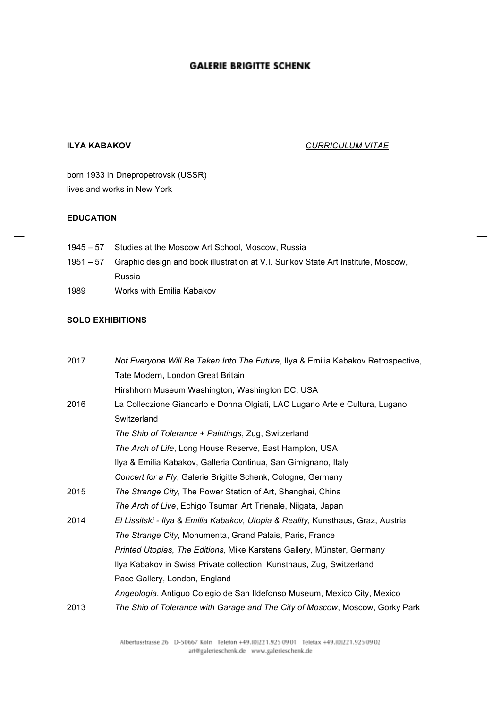#### **ILYA KABAKOV** *CURRICULUM VITAE*

born 1933 in Dnepropetrovsk (USSR) lives and works in New York

#### **EDUCATION**

- 1945 57 Studies at the Moscow Art School, Moscow, Russia
- 1951 57 Graphic design and book illustration at V.I. Surikov State Art Institute, Moscow, Russia
- 1989 Works with Emilia Kabakov

#### **SOLO EXHIBITIONS**

| 2017 | Not Everyone Will Be Taken Into The Future, Ilya & Emilia Kabakov Retrospective, |
|------|----------------------------------------------------------------------------------|
|      | Tate Modern, London Great Britain                                                |
|      | Hirshhorn Museum Washington, Washington DC, USA                                  |
| 2016 | La Colleczione Giancarlo e Donna Olgiati, LAC Lugano Arte e Cultura, Lugano,     |
|      | Switzerland                                                                      |
|      | The Ship of Tolerance + Paintings, Zug, Switzerland                              |
|      | The Arch of Life, Long House Reserve, East Hampton, USA                          |
|      | Ilya & Emilia Kabakov, Galleria Continua, San Gimignano, Italy                   |
|      | Concert for a Fly, Galerie Brigitte Schenk, Cologne, Germany                     |
| 2015 | The Strange City, The Power Station of Art, Shanghai, China                      |
|      | The Arch of Live, Echigo Tsumari Art Trienale, Niigata, Japan                    |
| 2014 | El Lissitski - Ilya & Emilia Kabakov, Utopia & Reality, Kunsthaus, Graz, Austria |
|      | The Strange City, Monumenta, Grand Palais, Paris, France                         |
|      | Printed Utopias, The Editions, Mike Karstens Gallery, Münster, Germany           |
|      | Ilya Kabakov in Swiss Private collection, Kunsthaus, Zug, Switzerland            |
|      | Pace Gallery, London, England                                                    |
|      | Angeologia, Antiguo Colegio de San Ildefonso Museum, Mexico City, Mexico         |
| 2013 | The Ship of Tolerance with Garage and The City of Moscow, Moscow, Gorky Park     |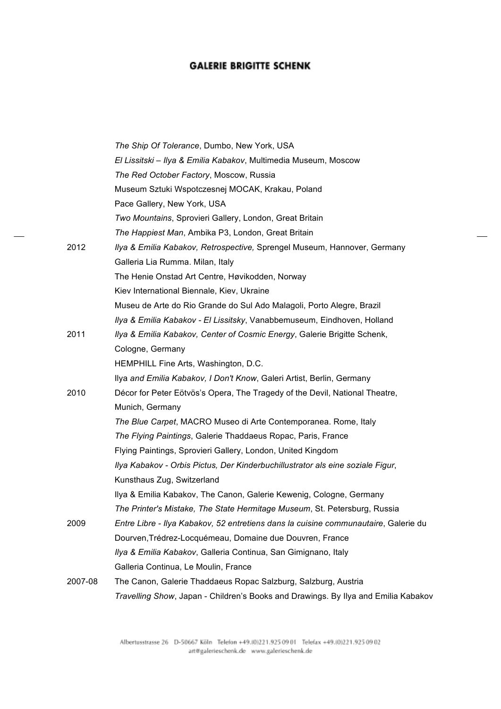|         | The Ship Of Tolerance, Dumbo, New York, USA                                         |
|---------|-------------------------------------------------------------------------------------|
|         | El Lissitski - Ilya & Emilia Kabakov, Multimedia Museum, Moscow                     |
|         | The Red October Factory, Moscow, Russia                                             |
|         | Museum Sztuki Wspotczesnej MOCAK, Krakau, Poland                                    |
|         | Pace Gallery, New York, USA                                                         |
|         | Two Mountains, Sprovieri Gallery, London, Great Britain                             |
|         | The Happiest Man, Ambika P3, London, Great Britain                                  |
| 2012    | Ilya & Emilia Kabakov, Retrospective, Sprengel Museum, Hannover, Germany            |
|         | Galleria Lia Rumma. Milan, Italy                                                    |
|         | The Henie Onstad Art Centre, Høvikodden, Norway                                     |
|         | Kiev International Biennale, Kiev, Ukraine                                          |
|         | Museu de Arte do Rio Grande do Sul Ado Malagoli, Porto Alegre, Brazil               |
|         | Ilya & Emilia Kabakov - El Lissitsky, Vanabbemuseum, Eindhoven, Holland             |
| 2011    | Ilya & Emilia Kabakov, Center of Cosmic Energy, Galerie Brigitte Schenk,            |
|         | Cologne, Germany                                                                    |
|         | HEMPHILL Fine Arts, Washington, D.C.                                                |
|         | Ilya and Emilia Kabakov, I Don't Know, Galeri Artist, Berlin, Germany               |
| 2010    | Décor for Peter Eötvös's Opera, The Tragedy of the Devil, National Theatre,         |
|         | Munich, Germany                                                                     |
|         | The Blue Carpet, MACRO Museo di Arte Contemporanea. Rome, Italy                     |
|         | The Flying Paintings, Galerie Thaddaeus Ropac, Paris, France                        |
|         | Flying Paintings, Sprovieri Gallery, London, United Kingdom                         |
|         | Ilya Kabakov - Orbis Pictus, Der Kinderbuchillustrator als eine soziale Figur,      |
|         | Kunsthaus Zug, Switzerland                                                          |
|         | Ilya & Emilia Kabakov, The Canon, Galerie Kewenig, Cologne, Germany                 |
|         | The Printer's Mistake, The State Hermitage Museum, St. Petersburg, Russia           |
| 2009    | Entre Libre - Ilya Kabakov, 52 entretiens dans la cuisine communautaire, Galerie du |
|         | Dourven, Trédrez-Locquémeau, Domaine due Douvren, France                            |
|         | Ilya & Emilia Kabakov, Galleria Continua, San Gimignano, Italy                      |
|         | Galleria Continua, Le Moulin, France                                                |
| 2007-08 | The Canon, Galerie Thaddaeus Ropac Salzburg, Salzburg, Austria                      |
|         | Travelling Show, Japan - Children's Books and Drawings. By Ilya and Emilia Kabakov  |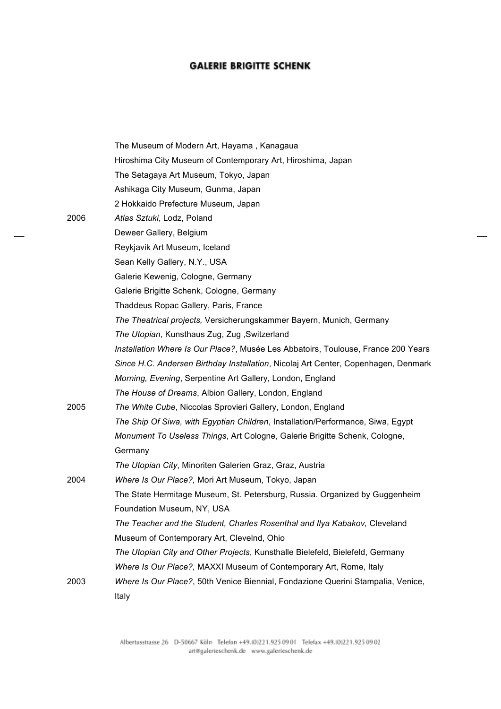|      | The Museum of Modern Art, Hayama, Kanagaua                                         |
|------|------------------------------------------------------------------------------------|
|      | Hiroshima City Museum of Contemporary Art, Hiroshima, Japan                        |
|      | The Setagaya Art Museum, Tokyo, Japan                                              |
|      | Ashikaga City Museum, Gunma, Japan                                                 |
|      | 2 Hokkaido Prefecture Museum, Japan                                                |
| 2006 | Atlas Sztuki, Lodz, Poland                                                         |
|      | Deweer Gallery, Belgium                                                            |
|      | Reykjavik Art Museum, Iceland                                                      |
|      | Sean Kelly Gallery, N.Y., USA                                                      |
|      | Galerie Kewenig, Cologne, Germany                                                  |
|      | Galerie Brigitte Schenk, Cologne, Germany                                          |
|      | Thaddeus Ropac Gallery, Paris, France                                              |
|      | The Theatrical projects, Versicherungskammer Bayern, Munich, Germany               |
|      | The Utopian, Kunsthaus Zug, Zug, Switzerland                                       |
|      | Installation Where Is Our Place?, Musée Les Abbatoirs, Toulouse, France 200 Years  |
|      | Since H.C. Andersen Birthday Installation, Nicolaj Art Center, Copenhagen, Denmark |
|      | Morning, Evening, Serpentine Art Gallery, London, England                          |
|      | The House of Dreams, Albion Gallery, London, England                               |
| 2005 | The White Cube, Niccolas Sprovieri Gallery, London, England                        |
|      | The Ship Of Siwa, with Egyptian Children, Installation/Performance, Siwa, Egypt    |
|      | Monument To Useless Things, Art Cologne, Galerie Brigitte Schenk, Cologne,         |
|      | Germany                                                                            |
|      | The Utopian City, Minoriten Galerien Graz, Graz, Austria                           |
| 2004 | Where Is Our Place?, Mori Art Museum, Tokyo, Japan                                 |
|      | The State Hermitage Museum, St. Petersburg, Russia. Organized by Guggenheim        |
|      | Foundation Museum, NY, USA                                                         |
|      | The Teacher and the Student, Charles Rosenthal and Ilya Kabakov, Cleveland         |
|      | Museum of Contemporary Art, Clevelnd, Ohio                                         |
|      | The Utopian City and Other Projects, Kunsthalle Bielefeld, Bielefeld, Germany      |
|      | Where Is Our Place?, MAXXI Museum of Contemporary Art, Rome, Italy                 |
| 2003 | Where Is Our Place?, 50th Venice Biennial, Fondazione Querini Stampalia, Venice,   |
|      | Italy                                                                              |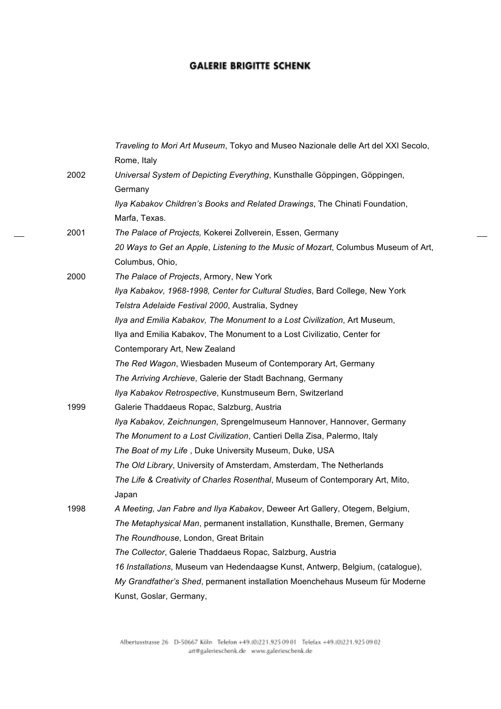|      | Traveling to Mori Art Museum, Tokyo and Museo Nazionale delle Art del XXI Secolo,  |
|------|------------------------------------------------------------------------------------|
|      | Rome, Italy                                                                        |
| 2002 | Universal System of Depicting Everything, Kunsthalle Göppingen, Göppingen,         |
|      | Germany                                                                            |
|      | Ilya Kabakov Children's Books and Related Drawings, The Chinati Foundation,        |
|      | Marfa, Texas.                                                                      |
| 2001 | The Palace of Projects, Kokerei Zollverein, Essen, Germany                         |
|      | 20 Ways to Get an Apple, Listening to the Music of Mozart, Columbus Museum of Art, |
|      | Columbus, Ohio,                                                                    |
| 2000 | The Palace of Projects, Armory, New York                                           |
|      | Ilya Kabakov, 1968-1998, Center for Cultural Studies, Bard College, New York       |
|      | Telstra Adelaide Festival 2000, Australia, Sydney                                  |
|      | Ilya and Emilia Kabakov, The Monument to a Lost Civilization, Art Museum,          |
|      | Ilya and Emilia Kabakov, The Monument to a Lost Civilizatio, Center for            |
|      | Contemporary Art, New Zealand                                                      |
|      | The Red Wagon, Wiesbaden Museum of Contemporary Art, Germany                       |
|      | The Arriving Archieve, Galerie der Stadt Bachnang, Germany                         |
|      | Ilya Kabakov Retrospective, Kunstmuseum Bern, Switzerland                          |
| 1999 | Galerie Thaddaeus Ropac, Salzburg, Austria                                         |
|      | Ilya Kabakov, Zeichnungen, Sprengelmuseum Hannover, Hannover, Germany              |
|      | The Monument to a Lost Civilization, Cantieri Della Zisa, Palermo, Italy           |
|      | The Boat of my Life, Duke University Museum, Duke, USA                             |
|      | The Old Library, University of Amsterdam, Amsterdam, The Netherlands               |
|      | The Life & Creativity of Charles Rosenthal, Museum of Contemporary Art, Mito,      |
|      | Japan                                                                              |
| 1998 | A Meeting, Jan Fabre and Ilya Kabakov, Deweer Art Gallery, Otegem, Belgium,        |
|      | The Metaphysical Man, permanent installation, Kunsthalle, Bremen, Germany          |
|      | The Roundhouse, London, Great Britain                                              |
|      | The Collector, Galerie Thaddaeus Ropac, Salzburg, Austria                          |
|      | 16 Installations, Museum van Hedendaagse Kunst, Antwerp, Belgium, (catalogue),     |
|      | My Grandfather's Shed, permanent installation Moenchehaus Museum für Moderne       |
|      | Kunst, Goslar, Germany,                                                            |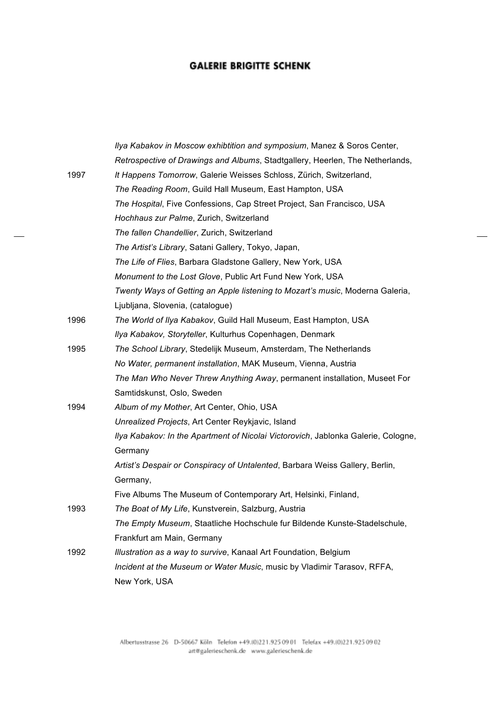|      | Ilya Kabakov in Moscow exhibtition and symposium, Manez & Soros Center,           |
|------|-----------------------------------------------------------------------------------|
|      | Retrospective of Drawings and Albums, Stadtgallery, Heerlen, The Netherlands,     |
| 1997 | It Happens Tomorrow, Galerie Weisses Schloss, Zürich, Switzerland,                |
|      | The Reading Room, Guild Hall Museum, East Hampton, USA                            |
|      | The Hospital, Five Confessions, Cap Street Project, San Francisco, USA            |
|      | Hochhaus zur Palme, Zurich, Switzerland                                           |
|      | The fallen Chandellier, Zurich, Switzerland                                       |
|      | The Artist's Library, Satani Gallery, Tokyo, Japan,                               |
|      | The Life of Flies, Barbara Gladstone Gallery, New York, USA                       |
|      | Monument to the Lost Glove, Public Art Fund New York, USA                         |
|      | Twenty Ways of Getting an Apple listening to Mozart's music, Moderna Galeria,     |
|      | Ljubljana, Slovenia, (catalogue)                                                  |
| 1996 | The World of Ilya Kabakov, Guild Hall Museum, East Hampton, USA                   |
|      | Ilya Kabakov, Storyteller, Kulturhus Copenhagen, Denmark                          |
| 1995 | The School Library, Stedelijk Museum, Amsterdam, The Netherlands                  |
|      | No Water, permanent installation, MAK Museum, Vienna, Austria                     |
|      | The Man Who Never Threw Anything Away, permanent installation, Museet For         |
|      | Samtidskunst, Oslo, Sweden                                                        |
| 1994 | Album of my Mother, Art Center, Ohio, USA                                         |
|      | Unrealized Projects, Art Center Reykjavic, Island                                 |
|      | Ilya Kabakov: In the Apartment of Nicolai Victorovich, Jablonka Galerie, Cologne, |
|      | Germany                                                                           |
|      | Artist's Despair or Conspiracy of Untalented, Barbara Weiss Gallery, Berlin,      |
|      | Germany,                                                                          |
|      | Five Albums The Museum of Contemporary Art, Helsinki, Finland,                    |
| 1993 | The Boat of My Life, Kunstverein, Salzburg, Austria                               |
|      | The Empty Museum, Staatliche Hochschule fur Bildende Kunste-Stadelschule,         |
|      | Frankfurt am Main, Germany                                                        |
| 1992 | Illustration as a way to survive, Kanaal Art Foundation, Belgium                  |
|      | Incident at the Museum or Water Music, music by Vladimir Tarasov, RFFA,           |
|      | New York, USA                                                                     |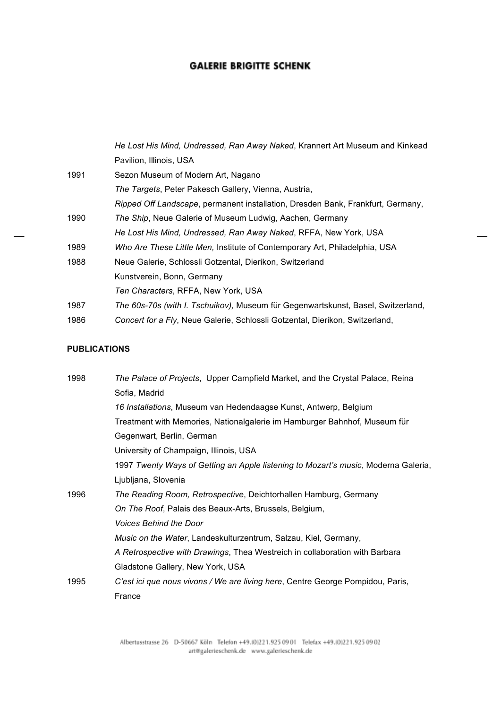|      | He Lost His Mind, Undressed, Ran Away Naked, Krannert Art Museum and Kinkead     |
|------|----------------------------------------------------------------------------------|
|      | Pavilion, Illinois, USA                                                          |
| 1991 | Sezon Museum of Modern Art, Nagano                                               |
|      | <i>The Targets, Peter Pakesch Gallery, Vienna, Austria,</i>                      |
|      | Ripped Off Landscape, permanent installation, Dresden Bank, Frankfurt, Germany,  |
| 1990 | The Ship, Neue Galerie of Museum Ludwig, Aachen, Germany                         |
|      | He Lost His Mind, Undressed, Ran Away Naked, RFFA, New York, USA                 |
| 1989 | Who Are These Little Men, Institute of Contemporary Art, Philadelphia, USA       |
| 1988 | Neue Galerie, Schlossli Gotzental, Dierikon, Switzerland                         |
|      | Kunstverein, Bonn, Germany                                                       |
|      | Ten Characters, RFFA, New York, USA                                              |
| 1987 | The 60s-70s (with I. Tschuikov), Museum für Gegenwartskunst, Basel, Switzerland, |
| 1986 | Concert for a Fly, Neue Galerie, Schlossli Gotzental, Dierikon, Switzerland,     |

#### **PUBLICATIONS**

| 1998 | The Palace of Projects, Upper Campfield Market, and the Crystal Palace, Reina      |
|------|------------------------------------------------------------------------------------|
|      | Sofia, Madrid                                                                      |
|      | 16 Installations, Museum van Hedendaagse Kunst, Antwerp, Belgium                   |
|      | Treatment with Memories, Nationalgalerie im Hamburger Bahnhof, Museum für          |
|      | Gegenwart, Berlin, German                                                          |
|      | University of Champaign, Illinois, USA                                             |
|      | 1997 Twenty Ways of Getting an Apple listening to Mozart's music, Moderna Galeria, |
|      | Ljubljana, Slovenia                                                                |
| 1996 | The Reading Room, Retrospective, Deichtorhallen Hamburg, Germany                   |
|      | On The Roof, Palais des Beaux-Arts, Brussels, Belgium,                             |
|      | <b>Voices Behind the Door</b>                                                      |
|      | Music on the Water, Landeskulturzentrum, Salzau, Kiel, Germany,                    |
|      | A Retrospective with Drawings, Thea Westreich in collaboration with Barbara        |
|      | Gladstone Gallery, New York, USA                                                   |
| 1995 | C'est ici que nous vivons / We are living here, Centre George Pompidou, Paris,     |
|      | France                                                                             |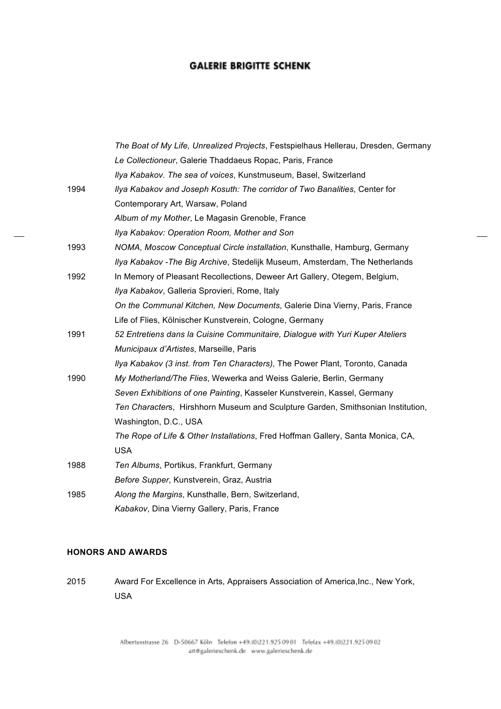|      | The Boat of My Life, Unrealized Projects, Festspielhaus Hellerau, Dresden, Germany |
|------|------------------------------------------------------------------------------------|
|      | Le Collectioneur, Galerie Thaddaeus Ropac, Paris, France                           |
|      | Ilya Kabakov. The sea of voices, Kunstmuseum, Basel, Switzerland                   |
| 1994 | Ilya Kabakov and Joseph Kosuth: The corridor of Two Banalities, Center for         |
|      | Contemporary Art, Warsaw, Poland                                                   |
|      | Album of my Mother, Le Magasin Grenoble, France                                    |
|      | Ilya Kabakov: Operation Room, Mother and Son                                       |
| 1993 | NOMA, Moscow Conceptual Circle installation, Kunsthalle, Hamburg, Germany          |
|      | Ilya Kabakov - The Big Archive, Stedelijk Museum, Amsterdam, The Netherlands       |
| 1992 | In Memory of Pleasant Recollections, Deweer Art Gallery, Otegem, Belgium,          |
|      | Ilya Kabakov, Galleria Sprovieri, Rome, Italy                                      |
|      | On the Communal Kitchen, New Documents, Galerie Dina Vierny, Paris, France         |
|      | Life of Flies, Kölnischer Kunstverein, Cologne, Germany                            |
| 1991 | 52 Entretiens dans la Cuisine Communitaire, Dialogue with Yuri Kuper Ateliers      |
|      | Municipaux d'Artistes, Marseille, Paris                                            |
|      | Ilya Kabakov (3 inst. from Ten Characters), The Power Plant, Toronto, Canada       |
| 1990 | My Motherland/The Flies, Wewerka and Weiss Galerie, Berlin, Germany                |
|      | Seven Exhibitions of one Painting, Kasseler Kunstverein, Kassel, Germany           |
|      | Ten Characters, Hirshhorn Museum and Sculpture Garden, Smithsonian Institution,    |
|      | Washington, D.C., USA                                                              |
|      | The Rope of Life & Other Installations, Fred Hoffman Gallery, Santa Monica, CA,    |
|      | <b>USA</b>                                                                         |
| 1988 | Ten Albums, Portikus, Frankfurt, Germany                                           |
|      | Before Supper, Kunstverein, Graz, Austria                                          |
| 1985 | Along the Margins, Kunsthalle, Bern, Switzerland,                                  |
|      | Kabakov, Dina Vierny Gallery, Paris, France                                        |

#### **HONORS AND AWARDS**

2015 Award For Excellence in Arts, Appraisers Association of America,Inc., New York, USA